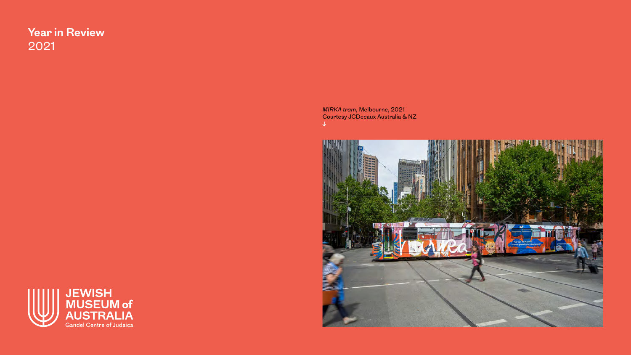# **Year in Review** 2021

*MIRKA tram*, Melbourne, 2021 Courtesy JCDecaux Australia & NZ **↓**



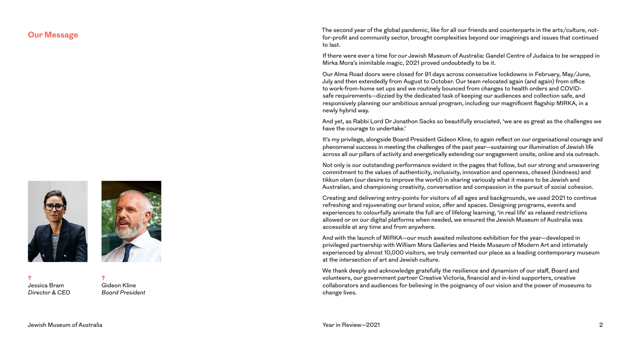

**↑** Jessica Bram *Director & CEO*



The second year of the global pandemic, like for all our friends and counterparts in the arts/culture, not-<br>for-profit and community sector, brought complexities beyond our imaginings and issues that continued to last.

> If there were ever a time for our Jewish Museum of Australia: Gandel Centre of Judaica to be wrapped in Mirka Mora's inimitable magic, 2021 proved undoubtedly to be it.

Our Alma Road doors were closed for 91 days across consecutive lockdowns in February, May/June, July and then extendedly from August to October. Our team relocated again (and again) from office to work-from-home set ups and we routinely bounced from changes to health orders and COVIDsafe requirements—dizzied by the dedicated task of keeping our audiences and collection safe, and responsively planning our ambitious annual program, including our magnificent flagship MIRKA, in a newly hybrid way.

And yet, as Rabbi Lord Dr Jonathon Sacks so beautifully enuciated, 'we are as great as the challenges we have the courage to undertake.'

It's my privilege, alongside Board President Gideon Kline, to again reflect on our organisational courage and phenomenal success in meeting the challenges of the past year—sustaining our illumination of Jewish life across all our pillars of activity and energetically extending our engagement onsite, online and via outreach.

Not only is our outstanding performance evident in the pages that follow, but our strong and unwavering commitment to the values of authenticity, inclusivity, innovation and openness, chesed (kindness) and tikkun olam (our desire to improve the world) in sharing variously what it means to be Jewish and Australian, and championing creativity, conversation and compassion in the pursuit of social cohesion.

Creating and delivering entry-points for visitors of all ages and backgrounds, we used 2021 to continue refreshing and rejuvenating our brand voice, offer and spaces. Designing programs, events and experiences to colourfully animate the full arc of lifelong learning, 'in real life' as relaxed restrictions allowed or on our digital platforms when needed, we ensured the Jewish Museum of Australia was accessible at any time and from anywhere.

And with the launch of MIRKA—our much awaited milestone exhibition for the year—developed in privileged partnership with William Mora Galleries and Heide Museum of Modern Art and intimately experienced by almost 10,000 visitors, we truly cemented our place as a leading contemporary museum at the intersection of art and Jewish culture.

We thank deeply and acknowledge gratefully the resilience and dynamism of our staff, Board and volunteers, our government partner Creative Victoria, financial and in-kind supporters, creative collaborators and audiences for believing in the poignancy of our vision and the power of museums to change lives.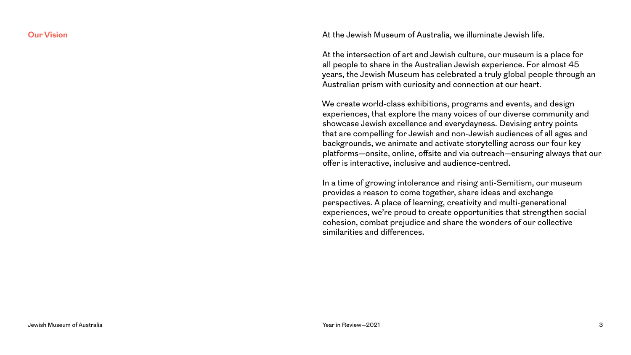**Our Vision Our Vision At the Jewish Museum of Australia, we illuminate Jewish life.** 

At the intersection of art and Jewish culture, our museum is a place for all people to share in the Australian Jewish experience. For almost 45 years, the Jewish Museum has celebrated a truly global people through an Australian prism with curiosity and connection at our heart.

We create world-class exhibitions, programs and events, and design experiences, that explore the many voices of our diverse community and showcase Jewish excellence and everydayness. Devising entry points that are compelling for Jewish and non-Jewish audiences of all ages and backgrounds, we animate and activate storytelling across our four key platforms—onsite, online, offsite and via outreach—ensuring always that our offer is interactive, inclusive and audience-centred.

In a time of growing intolerance and rising anti-Semitism, our museum provides a reason to come together, share ideas and exchange perspectives. A place of learning, creativity and multi-generational experiences, we're proud to create opportunities that strengthen social cohesion, combat prejudice and share the wonders of our collective similarities and differences.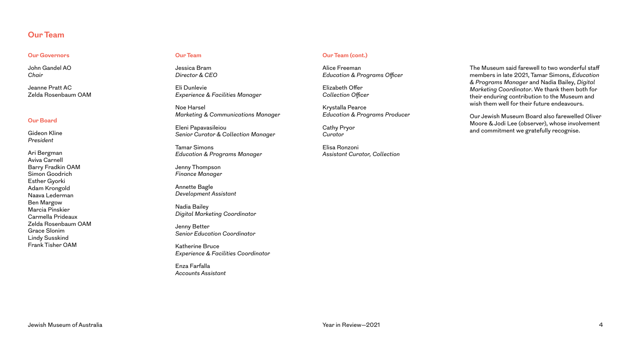#### **Our Team**

#### **Our Governors**

John Gandel AO *Chair*

Jeanne Pratt AC Zelda Rosenbaum OAM

#### **Our Board**

Gideon Kline *President*

Ari Bergman Aviva Carnell Barry Fradkin OAM Simon Goodrich Esther Gyorki Adam Krongold Naava Lederman Ben Margow Marcia Pinskier Carmella Prideaux Zelda Rosenbaum OAM Grace Slonim Lindy Susskind Frank Tisher OAM

#### **Our Team**

Jessica Bram *Director & CEO*

Eli Dunlevie *Experience & Facilities Manager*

Noe Harsel *Marketing & Communications Manager*

Eleni Papavasileiou *Senior Curator & Collection Manager*

Tamar Simons *Education & Programs Manager*

Jenny Thompson *Finance Manager* 

Annette Bagle *Development Assistant*

Nadia Bailey *Digital Marketing Coordinator*

Jenny Better *Senior Education Coordinator*

Katherine Bruce *Experience & Facilities Coordinator*

Enza Farfalla *Accounts Assistant*

#### **Our Team (cont.)**

Alice Freeman *Education & Programs Officer*

Elizabeth Offer *Collection Officer*

Krystalla Pearce *Education & Programs Producer*

Cathy Pryor *Curator*

Elisa Ronzoni *Assistant Curator, Collection*

The Museum said farewell to two wonderful staff members in late 2021, Tamar Simons, *Education & Programs Manager* and Nadia Bailey, *Digital Marketing Coordinator*. We thank them both for their enduring contribution to the Museum and wish them well for their future endeavours.

Our Jewish Museum Board also farewelled Oliver Moore & Jodi Lee (observer), whose involvement and commitment we gratefully recognise.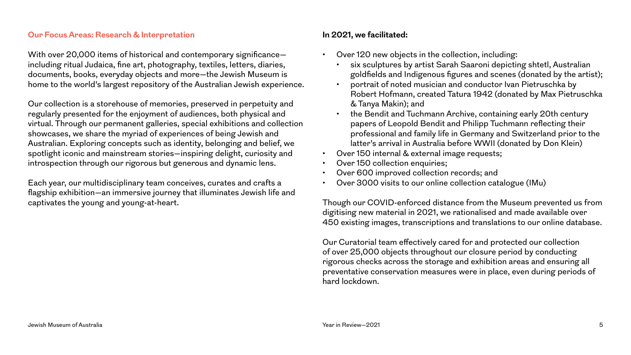### **Our Focus Areas: Research & Interpretation**

With over 20,000 items of historical and contemporary significance including ritual Judaica, fine art, photography, textiles, letters, diaries, documents, books, everyday objects and more—the Jewish Museum is home to the world's largest repository of the Australian Jewish experience.

Our collection is a storehouse of memories, preserved in perpetuity and regularly presented for the enjoyment of audiences, both physical and virtual. Through our permanent galleries, special exhibitions and collection showcases, we share the myriad of experiences of being Jewish and Australian. Exploring concepts such as identity, belonging and belief, we spotlight iconic and mainstream stories—inspiring delight, curiosity and introspection through our rigorous but generous and dynamic lens.

Each year, our multidisciplinary team conceives, curates and crafts a flagship exhibition—an immersive journey that illuminates Jewish life and captivates the young and young-at-heart.

### **In 2021, we facilitated:**

- Over 120 new objects in the collection, including:
	- six sculptures by artist Sarah Saaroni depicting shtetl, Australian goldfields and Indigenous figures and scenes (donated by the artist);
	- portrait of noted musician and conductor Ivan Pietruschka by Robert Hofmann, created Tatura 1942 (donated by Max Pietruschka & Tanya Makin); and
	- the Bendit and Tuchmann Archive, containing early 20th century papers of Leopold Bendit and Philipp Tuchmann reflecting their professional and family life in Germany and Switzerland prior to the latter's arrival in Australia before WWII (donated by Don Klein)
- Over 150 internal & external image requests;
- Over 150 collection enquiries;
- Over 600 improved collection records; and
- Over 3000 visits to our online collection catalogue (IMu)

Though our COVID-enforced distance from the Museum prevented us from digitising new material in 2021, we rationalised and made available over 450 existing images, transcriptions and translations to our online database.

Our Curatorial team effectively cared for and protected our collection of over 25,000 objects throughout our closure period by conducting rigorous checks across the storage and exhibition areas and ensuring all preventative conservation measures were in place, even during periods of hard lockdown.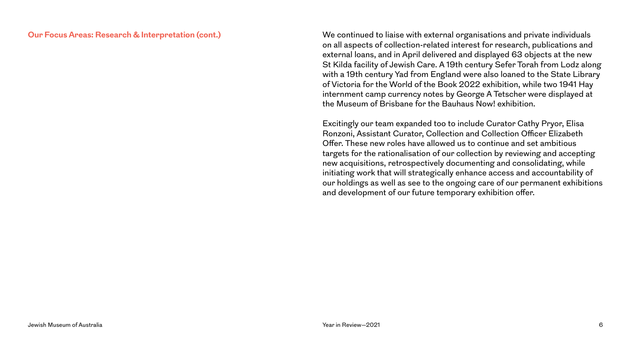#### **Our Focus Areas: Research & Interpretation (cont.)**

We continued to liaise with external organisations and private individuals on all aspects of collection-related interest for research, publications and external loans, and in April delivered and displayed 63 objects at the new St Kilda facility of Jewish Care. A 19th century Sefer Torah from Lodz along with a 19th century Yad from England were also loaned to the State Library of Victoria for the World of the Book 2022 exhibition, while two 1941 Hay internment camp currency notes by George A Tetscher were displayed at the Museum of Brisbane for the Bauhaus Now! exhibition.

Excitingly our team expanded too to include Curator Cathy Pryor, Elisa Ronzoni, Assistant Curator, Collection and Collection Officer Elizabeth Offer. These new roles have allowed us to continue and set ambitious targets for the rationalisation of our collection by reviewing and accepting new acquisitions, retrospectively documenting and consolidating, while initiating work that will strategically enhance access and accountability of our holdings as well as see to the ongoing care of our permanent exhibitions and development of our future temporary exhibition offer.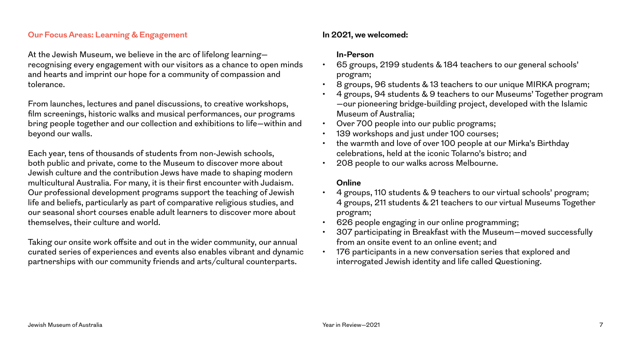### **Our Focus Areas: Learning & Engagement**

At the Jewish Museum, we believe in the arc of lifelong learning recognising every engagement with our visitors as a chance to open minds and hearts and imprint our hope for a community of compassion and tolerance.

From launches, lectures and panel discussions, to creative workshops, film screenings, historic walks and musical performances, our programs bring people together and our collection and exhibitions to life—within and beyond our walls.

Each year, tens of thousands of students from non-Jewish schools, both public and private, come to the Museum to discover more about Jewish culture and the contribution Jews have made to shaping modern multicultural Australia. For many, it is their first encounter with Judaism. Our professional development programs support the teaching of Jewish life and beliefs, particularly as part of comparative religious studies, and our seasonal short courses enable adult learners to discover more about themselves, their culture and world.

Taking our onsite work offsite and out in the wider community, our annual curated series of experiences and events also enables vibrant and dynamic partnerships with our community friends and arts/cultural counterparts.

### **In 2021, we welcomed:**

### **In-Person**

- 65 groups, 2199 students & 184 teachers to our general schools' program;
- 8 groups, 96 students & 13 teachers to our unique MIRKA program;
- 4 groups, 94 students & 9 teachers to our Museums' Together program —our pioneering bridge-building project, developed with the Islamic Museum of Australia;
- Over 700 people into our public programs;
- 139 workshops and just under 100 courses;
- the warmth and love of over 100 people at our Mirka's Birthday celebrations, held at the iconic Tolarno's bistro; and
- 208 people to our walks across Melbourne.

### **Online**

- 4 groups, 110 students & 9 teachers to our virtual schools' program; 4 groups, 211 students & 21 teachers to our virtual Museums Together program;
- 626 people engaging in our online programming;
- 307 participating in Breakfast with the Museum—moved successfully from an onsite event to an online event; and
- 176 participants in a new conversation series that explored and interrogated Jewish identity and life called Questioning.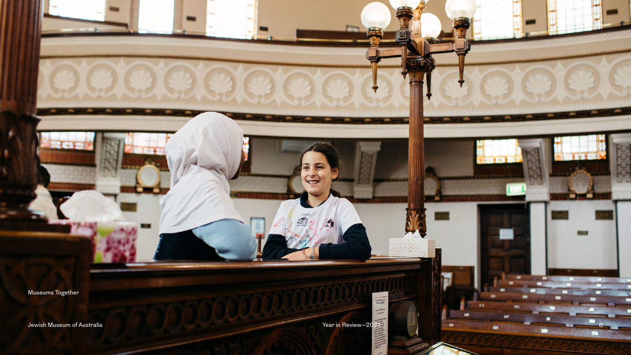Museums Together

Jewish Museum of Australia **Year in Review—2021** 

bookstateran **REFERENCE** 

 $\frac{1}{2}$ 

Book

8

170

m

.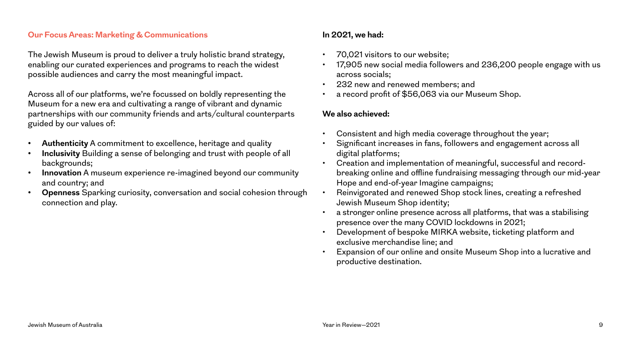### **Our Focus Areas: Marketing & Communications**

The Jewish Museum is proud to deliver a truly holistic brand strategy, enabling our curated experiences and programs to reach the widest possible audiences and carry the most meaningful impact.

Across all of our platforms, we're focussed on boldly representing the Museum for a new era and cultivating a range of vibrant and dynamic partnerships with our community friends and arts/cultural counterparts guided by our values of:

- **• Authenticity** A commitment to excellence, heritage and quality
- **• Inclusivity** Building a sense of belonging and trust with people of all backgrounds;
- **• Innovation** A museum experience re-imagined beyond our community and country; and
- **• Openness** Sparking curiosity, conversation and social cohesion through connection and play.

## **In 2021, we had:**

- 70,021 visitors to our website;
- 17,905 new social media followers and 236,200 people engage with us across socials;
- 232 new and renewed members; and
- a record profit of \$56,063 via our Museum Shop.

### **We also achieved:**

- Consistent and high media coverage throughout the year;
- Significant increases in fans, followers and engagement across all digital platforms;
- Creation and implementation of meaningful, successful and recordbreaking online and offline fundraising messaging through our mid-year Hope and end-of-year Imagine campaigns;
- Reinvigorated and renewed Shop stock lines, creating a refreshed Jewish Museum Shop identity;
- a stronger online presence across all platforms, that was a stabilising presence over the many COVID lockdowns in 2021;
- Development of bespoke MIRKA website, ticketing platform and exclusive merchandise line; and
- Expansion of our online and onsite Museum Shop into a lucrative and productive destination.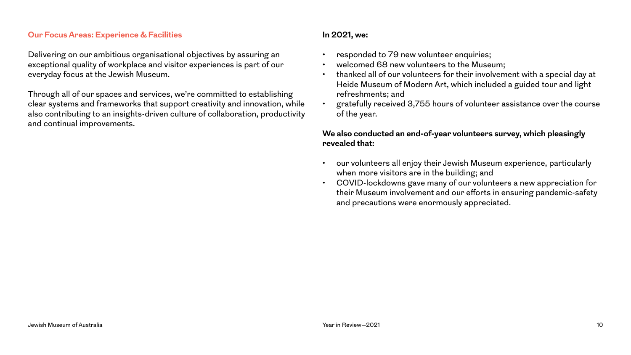### **Our Focus Areas: Experience & Facilities**

Delivering on our ambitious organisational objectives by assuring an exceptional quality of workplace and visitor experiences is part of our everyday focus at the Jewish Museum.

Through all of our spaces and services, we're committed to establishing clear systems and frameworks that support creativity and innovation, while also contributing to an insights-driven culture of collaboration, productivity and continual improvements.

### **In 2021, we:**

- responded to 79 new volunteer enquiries;
- welcomed 68 new volunteers to the Museum;
- thanked all of our volunteers for their involvement with a special day at Heide Museum of Modern Art, which included a guided tour and light refreshments; and
- gratefully received 3,755 hours of volunteer assistance over the course of the year.

### **We also conducted an end-of-year volunteers survey, which pleasingly revealed that:**

- our volunteers all enjoy their Jewish Museum experience, particularly when more visitors are in the building; and
- COVID-lockdowns gave many of our volunteers a new appreciation for their Museum involvement and our efforts in ensuring pandemic-safety and precautions were enormously appreciated.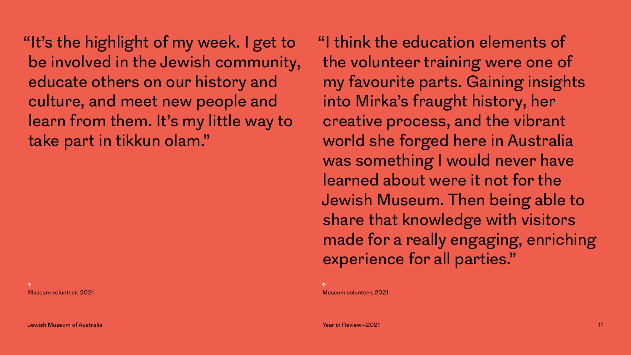"It's the highlight of my week. I get to be involved in the Jewish community, educate others on our history and culture, and meet new people and learn from them. It's my little way to take part in tikkun olam."

**↑** Museum volunteer, 2021 "I think the education elements of the volunteer training were one of my favourite parts. Gaining insights into Mirka's fraught history, her creative process, and the vibrant world she forged here in Australia was something I would never have learned about were it not for the Jewish Museum. Then being able to share that knowledge with visitors made for a really engaging, enriching experience for all parties."

**↑** Museum volunteer, 2021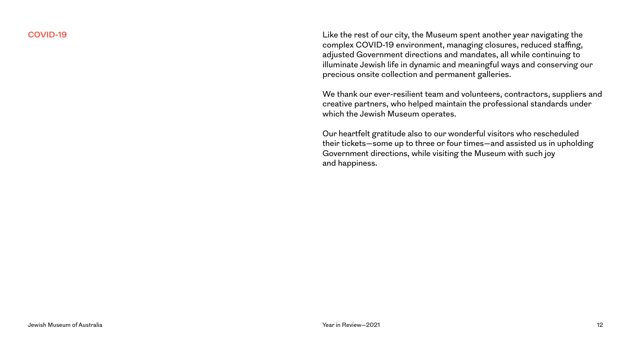**COVID-19** Like the rest of our city, the Museum spent another year navigating the complex COVID-19 environment, managing closures, reduced staffing, adjusted Government directions and mandates, all while continuing to illuminate Jewish life in dynamic and meaningful ways and conserving our precious onsite collection and permanent galleries.

> We thank our ever-resilient team and volunteers, contractors, suppliers and creative partners, who helped maintain the professional standards under which the Jewish Museum operates.

Our heartfelt gratitude also to our wonderful visitors who rescheduled their tickets—some up to three or four times—and assisted us in upholding Government directions, while visiting the Museum with such joy and happiness.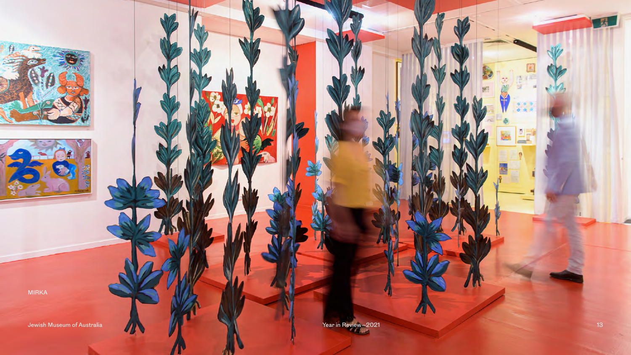MIRKA

Jewish Museum of Australia XVIII and the Vear in Review-2021 13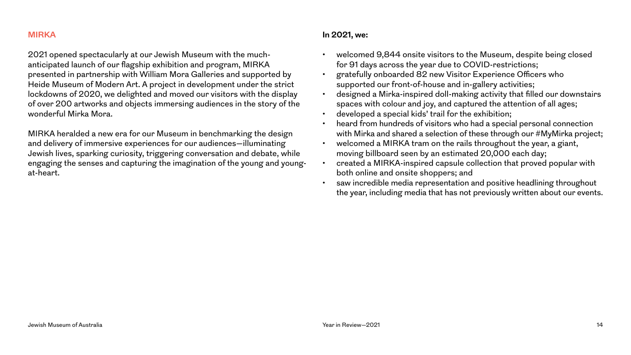#### **MIRKA**

2021 opened spectacularly at our Jewish Museum with the muchanticipated launch of our flagship exhibition and program, MIRKA presented in partnership with William Mora Galleries and supported by Heide Museum of Modern Art. A project in development under the strict lockdowns of 2020, we delighted and moved our visitors with the display of over 200 artworks and objects immersing audiences in the story of the wonderful Mirka Mora.

MIRKA heralded a new era for our Museum in benchmarking the design and delivery of immersive experiences for our audiences—illuminating Jewish lives, sparking curiosity, triggering conversation and debate, while engaging the senses and capturing the imagination of the young and youngat-heart.

### **In 2021, we:**

- welcomed 9,844 onsite visitors to the Museum, despite being closed for 91 days across the year due to COVID-restrictions;
- gratefully onboarded 82 new Visitor Experience Officers who supported our front-of-house and in-gallery activities;
- designed a Mirka-inspired doll-making activity that filled our downstairs spaces with colour and joy, and captured the attention of all ages;
- developed a special kids' trail for the exhibition;
- heard from hundreds of visitors who had a special personal connection with Mirka and shared a selection of these through our #MyMirka project;
- welcomed a MIRKA tram on the rails throughout the year, a giant, moving billboard seen by an estimated 20,000 each day;
- created a MIRKA-inspired capsule collection that proved popular with both online and onsite shoppers; and
- saw incredible media representation and positive headlining throughout the year, including media that has not previously written about our events.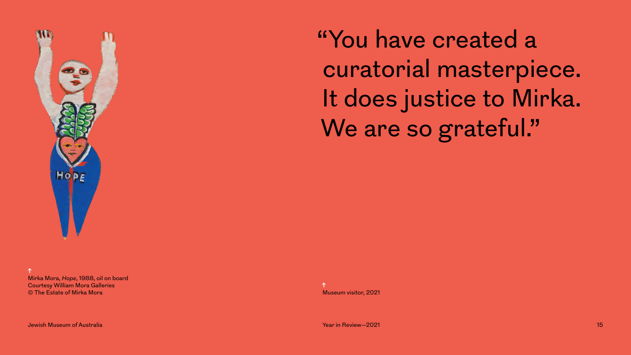

"You have created a curatorial masterpiece. It does justice to Mirka. We are so grateful."

**↑** Mirka Mora, *Hope*, 1988, oil on board Courtesy William Mora Galleries © The Estate of Mirka Mora

Jewish Museum of Australia Year in Review—2021 15

**↑** Museum visitor, 2021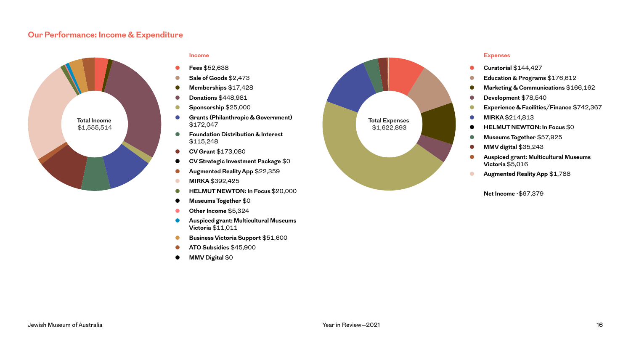### **Our Performance: Income & Expenditure**



#### **Income**

- **● Fees** \$52,638
- **● Sale of Goods** \$2,473
- **● Memberships** \$17,428
- **● Donations** \$448,981
- **● Sponsorship** \$25,000
- **● Grants (Philanthropic & Government)**  \$172,047
- **● Foundation Distribution & Interest**  \$115,248
- **● CV Grant** \$173,080
- **● CV Strategic Investment Package** \$0
- **● Augmented Reality App** \$22,359
- **● MIRKA** \$392,425
- **● HELMUT NEWTON: In Focus** \$20,000
- **● Museums Together** \$0
- **● Other Income** \$5,324
- **● Auspiced grant: Multicultural Museums Victoria** \$11,011
- **● Business Victoria Support** \$51,600
- **● ATO Subsidies** \$45,900
- **● MMV Digital** \$0



#### **Expenses**

- **● Curatorial** \$144,427
- **● Education & Programs** \$176,612
- **● Marketing & Communications** \$166,162
- **● Development** \$78,540
- **● Experience & Facilities/Finance** \$742,367
- **● MIRKA** \$214,813
- **HELMUT NEWTON: In Focus \$0**
- **● Museums Together** \$57,925
- **● MMV digital** \$35,243
- **● Auspiced grant: Multicultural Museums Victoria** \$5,016
- **● Augmented Reality App** \$1,788

**Net Income** -\$67,379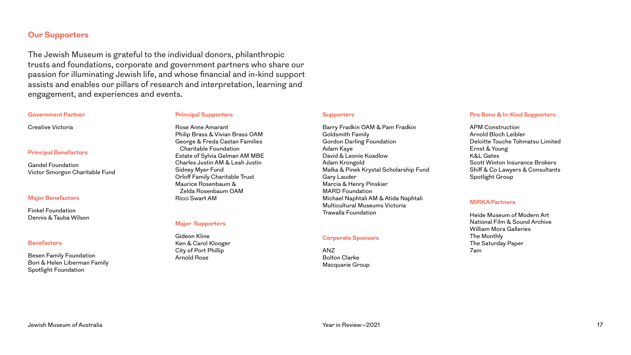#### **Our Supporters**

The Jewish Museum is grateful to the individual donors, philanthropic trusts and foundations, corporate and government partners who share our passion for illuminating Jewish life, and whose financial and in-kind support assists and enables our pillars of research and interpretation, learning and engagement, and experiences and events.

#### **Government Partner**

**Principal Benefactors**

Victor Smorgon Charitable Fund

Gandel Foundation

**Major Benefactors** Finkel Foundation Dennis & Tauba Wilson

**Benefactors**

Creative Victoria

#### **Principal Supporters**

Rose Anne Amarant Philip Brass & Vivian Brass OAM George & Freda Castan Families Charitable Foundation Estate of Sylvia Gelman AM MBE Charles Justin AM & Leah Justin Sidney Myer Fund Orloff Family Charitable Trust Maurice Rosenbaum & Zelda Rosenbaum OAM Ricci Swart AM

#### **Major Supporters**

Gideon Kline Ken & Carol Klooger City of Port Phillip Arnold Rose

#### **Supporters**

Barry Fradkin OAM & Pam Fradkin Goldsmith Family Gordon Darling Foundation Adam Kaye David & Leonie Koadlow Adam Krongold Malka & Pinek Krystal Scholarship Fund Gary Lauder Marcia & Henry Pinskier MARD Foundation Michael Naphtali AM & Atida Naphtali Multicultural Museums Victoria Trawalla Foundation

#### **Corporate Sponsors**

ANZ Bolton Clarke Macquarie Group

#### **Pro Bono & In-Kind Supporters**

APM Construction Arnold Bloch Leibler Deloitte Touche Tohmatsu Limited Ernst & Young K&L Gates Scott Winton Insurance Brokers Shiff & Co Lawyers & Consultants Spotlight Group

#### **MIRKA Partners**

Heide Museum of Modern Art National Film & Sound Archive William Mora Galleries The Monthly The Saturday Paper 7am

Besen Family Foundation Bori & Helen Liberman Family

Spotlight Foundation